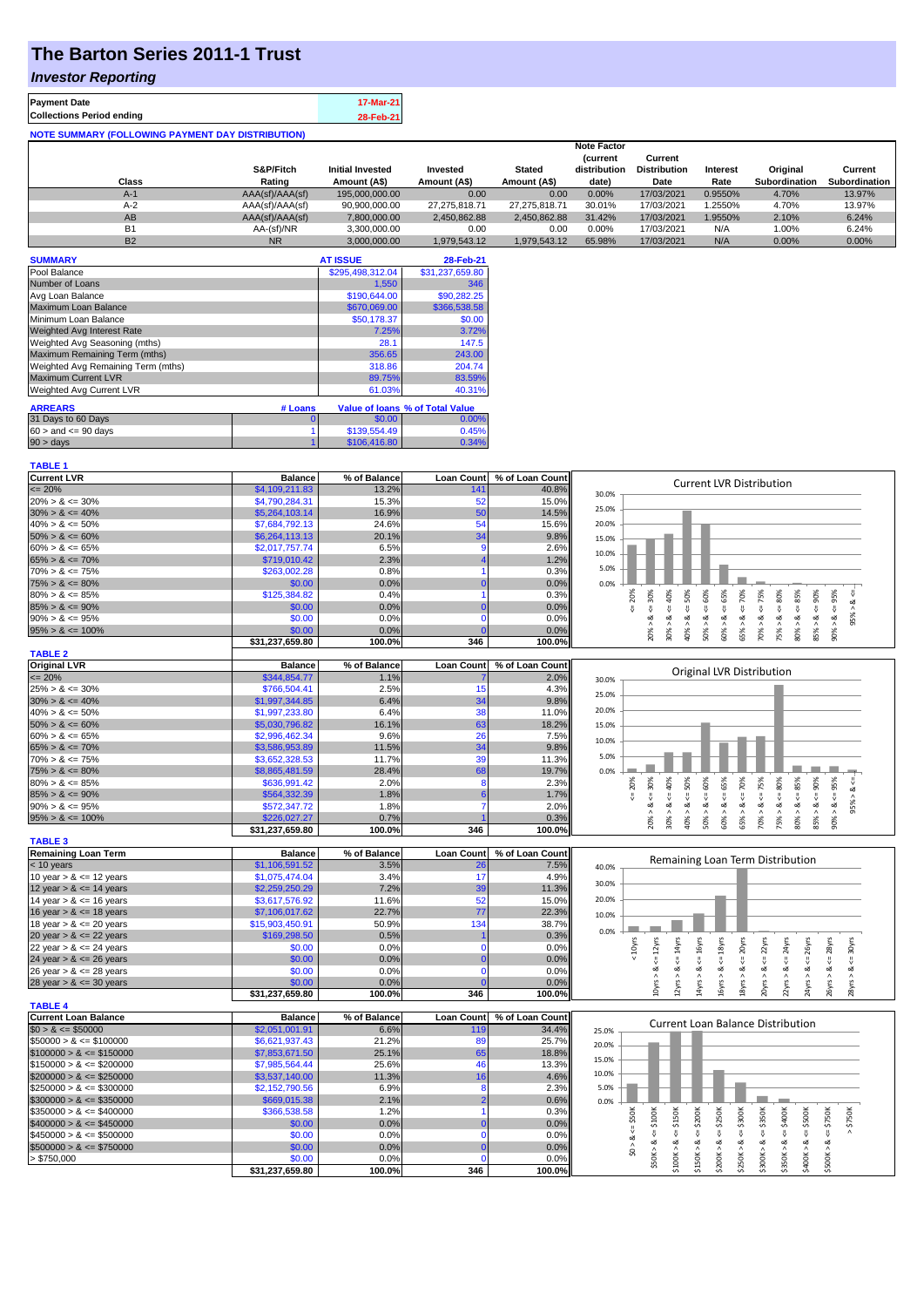### **The Barton Series 2011-1 Trust**

#### *Investor Reporting*

| <b>Payment Date</b>                                      | 17-Mar-21 |
|----------------------------------------------------------|-----------|
| <b>Collections Period ending</b>                         | 28-Feb-21 |
| <b>NOTE SUMMARY (FOLLOWING PAYMENT DAY DISTRIBUTION)</b> |           |

|           |                 |                         |               |               | <b>Note Factor</b> |                     |                 |               |               |
|-----------|-----------------|-------------------------|---------------|---------------|--------------------|---------------------|-----------------|---------------|---------------|
|           |                 |                         |               |               | <b>Current</b>     | Current             |                 |               |               |
|           | S&P/Fitch       | <b>Initial Invested</b> | Invested      | <b>Stated</b> | distribution       | <b>Distribution</b> | <b>Interest</b> | Original      | Current       |
| Class     | Rating          | Amount (A\$)            | Amount (A\$)  | Amount (A\$)  | date)              | Date                | Rate            | Subordination | Subordination |
| $A-1$     | AAA(sf)/AAA(sf) | 195.000.000.00          | 0.00          | 0.00          | 0.00%              | 17/03/2021          | 0.9550%         | 4.70%         | 13.97%        |
| $A-2$     | AAA(sf)/AAA(sf) | 90,900,000.00           | 27.275.818.71 | 27.275.818.71 | 30.01%             | 17/03/2021          | .2550%          | 4.70%         | 13.97%        |
| AB        | AAA(sf)/AAA(sf) | 7.800.000.00            | 2.450.862.88  | 2.450.862.88  | 31.42%             | 17/03/2021          | 1.9550%         | 2.10%         | 6.24%         |
| <b>B1</b> | AA-(sf)/NR      | 3.300.000.00            | 0.00          | 0.00          | 0.00%              | 17/03/2021          | N/A             | 1.00%         | 6.24%         |
| <b>B2</b> | <b>NR</b>       | 3.000.000.00            | 1.979.543.12  | 1.979.543.12  | 65.98%             | 17/03/2021          | N/A             | 0.00%         | 0.00%         |

| <b>SUMMARY</b>                     |         | <b>AT ISSUE</b>  | 28-Feb-21                       |
|------------------------------------|---------|------------------|---------------------------------|
| Pool Balance                       |         | \$295,498,312.04 | \$31,237,659.80                 |
| Number of Loans                    |         | 1,550            | 346                             |
| Avg Loan Balance                   |         | \$190,644.00     | \$90,282.25                     |
| Maximum Loan Balance               |         | \$670,069.00     | \$366,538.58                    |
| Minimum Loan Balance               |         | \$50,178.37      | \$0.00                          |
| Weighted Avg Interest Rate         |         | 7.25%            | 3.72%                           |
| Weighted Avg Seasoning (mths)      |         | 28.1             | 147.5                           |
| Maximum Remaining Term (mths)      |         | 356.65           | 243.00                          |
| Weighted Avg Remaining Term (mths) |         | 318.86           | 204.74                          |
| <b>Maximum Current LVR</b>         |         | 89.75%           | 83.59%                          |
| Weighted Avg Current LVR           |         | 61.03%           | 40.31%                          |
| <b>ARREARS</b>                     | # Loans |                  | Value of Ioans % of Total Value |
| 31 Days to 60 Days                 | 0       | \$0.00           | 0.00%                           |
| $60 >$ and $\leq 90$ days          |         | \$139,554.49     | 0.45%                           |
| 90 > days                          |         | \$106,416.80     | 0.34%                           |

| <b>TABLE 1</b>                                           |                                  |                |                   |                 |                                                                                                                                                                                    |
|----------------------------------------------------------|----------------------------------|----------------|-------------------|-----------------|------------------------------------------------------------------------------------------------------------------------------------------------------------------------------------|
| <b>Current LVR</b>                                       | <b>Balance</b>                   | % of Balance   | <b>Loan Count</b> | % of Loan Count | <b>Current LVR Distribution</b>                                                                                                                                                    |
| $= 20%$                                                  | \$4,109,211.83                   | 13.2%          | 141               | 40.8%           | 30.0%                                                                                                                                                                              |
| $20\% > 8 \le 30\%$                                      | \$4,790,284.31                   | 15.3%          | 52                | 15.0%           |                                                                                                                                                                                    |
| $30\% > 8 \le 40\%$                                      | \$5,264,103.14                   | 16.9%          | 50                | 14.5%           | 25.0%                                                                                                                                                                              |
| $40\% > 8 \le 50\%$                                      | \$7,684,792.13                   | 24.6%          | 54                | 15.6%           | 20.0%                                                                                                                                                                              |
| $50\% > 8 \le 60\%$                                      | \$6,264,113.13                   | 20.1%          | 34                | 9.8%            | 15.0%                                                                                                                                                                              |
| $60\% > 8 \le 65\%$                                      | \$2,017,757.74                   | 6.5%           | 9                 | 2.6%            |                                                                                                                                                                                    |
| $65\% > 8 \le 70\%$                                      | \$719,010.42                     | 2.3%           |                   | 1.2%            | 10.0%                                                                                                                                                                              |
| $70\% > 8 \le 75\%$                                      | \$263,002.28                     | 0.8%           |                   | 0.3%            | 5.0%                                                                                                                                                                               |
| $75\% > 8 \le 80\%$                                      | \$0.00                           | 0.0%           |                   | 0.0%            | 0.0%                                                                                                                                                                               |
| $80\% > 8 \le 85\%$                                      | \$125,384.82                     | 0.4%           |                   | 0.3%            | 450%                                                                                                                                                                               |
| $85\% > 8 \le 90\%$                                      | \$0.00                           | 0.0%           |                   | 0.0%            | $4 = 65%$<br>50%<br>$<=$ 50%<br>$4 = 70\%$<br>$4 = 75\%$<br>$<=80\%$<br>$4 = 20\%$<br>40%<br>$\leq 90\%$                                                                           |
| $90\% > 8 \le 95\%$                                      | \$0.00                           | 0.0%           | c                 | 0.0%            | 95% > 8<br>ಷ<br>∞                                                                                                                                                                  |
| $95\% > 8 \le 100\%$                                     | \$0.00                           | 0.0%           |                   | 0.0%            | $80\% > 8 <= 85\%$<br>$90\% > 8 <= 95\%$<br>$50\% > 8.$<br>60% > 8<br>65% > 8<br>85% > 8.<br>$30\% > 8.$<br>$70\% > 8.$<br>75% > 8.<br>20% >                                       |
|                                                          | \$31,237,659.80                  | 100.0%         | 346               | 100.0%          | 40%                                                                                                                                                                                |
| <b>TABLE 2</b>                                           |                                  |                |                   |                 |                                                                                                                                                                                    |
| <b>Original LVR</b>                                      | <b>Balance</b>                   | % of Balance   | <b>Loan Count</b> | % of Loan Count |                                                                                                                                                                                    |
| $= 20%$                                                  | \$344,854.77                     | 1.1%           |                   | 2.0%            | Original LVR Distribution<br>30.0%                                                                                                                                                 |
| $25\% > 8 \le 30\%$                                      | \$766,504.41                     | 2.5%           | 15                | 4.3%            |                                                                                                                                                                                    |
| $30\% > 8 \le 40\%$                                      | \$1,997,344.85                   | 6.4%           | 34                | 9.8%            | 25.0%                                                                                                                                                                              |
| $40\% > 8 \le 50\%$                                      | \$1,997,233.80                   | 6.4%           | 38                | 11.0%           | 20.0%                                                                                                                                                                              |
| $50\% > 8 \le 60\%$                                      | \$5,030,796.82                   | 16.1%          | 63                | 18.2%           | 15.0%                                                                                                                                                                              |
| $60\% > 8 \le 65\%$                                      | \$2,996,462.34                   | 9.6%           | 26                | 7.5%            |                                                                                                                                                                                    |
| $65\% > 8 \le 70\%$                                      | \$3,586,953.89                   | 11.5%          | 34                | 9.8%            | 10.0%                                                                                                                                                                              |
| $70\% > 8 \le 75\%$                                      | \$3,652,328.53                   | 11.7%          | 39                | 11.3%           | 5.0%                                                                                                                                                                               |
| $75\% > 8 \le 80\%$                                      | \$8,865,481.59                   | 28.4%          | 68                | 19.7%           | 0.0%                                                                                                                                                                               |
| $80\% > 8 \le 85\%$                                      | \$636,991.42                     | 2.0%           | 8                 | 2.3%            | 50%<br>80%                                                                                                                                                                         |
| $85\% > 8 \le 90\%$                                      | \$564,332.39                     | 1.8%           |                   | 1.7%            | $8 - 90%$<br>$4 = 30\%$<br>$<=70%$<br>40%<br>$95\% > 8 <$<br>$4 = 20\%$<br>V                                                                                                       |
| $90\% > 8 \le 95\%$                                      | \$572,347.72                     | 1.8%           |                   | 2.0%            | ૐ<br>ä<br>ઌ                                                                                                                                                                        |
| $95\% > 8 \le 100\%$                                     | \$226,027.27                     | 0.7%           |                   | 0.3%            | $70\% > 8 <= 75\%$<br>$50\% > 8 <= 60\%$<br>$60\% > 8 \le 65\%$<br>$80\% > 8 \leq S \leq 85\%$<br>$90\% > 8 <= 95\%$<br>75% > 8 <<br>30% ><br>65% > 8<br>85% ><br>20% ><br>40% >   |
|                                                          | \$31,237,659.80                  | 100.0%         | 346               | 100.0%          |                                                                                                                                                                                    |
| <b>TABLE 3</b>                                           |                                  |                |                   |                 |                                                                                                                                                                                    |
| <b>Remaining Loan Term</b>                               | <b>Balance</b>                   | % of Balance   | <b>Loan Count</b> | % of Loan Count |                                                                                                                                                                                    |
| < 10 years                                               | \$1,106,591.52                   |                |                   |                 | Remaining Loan Term Distribution                                                                                                                                                   |
| 10 year $> 8 \le 12$ years                               |                                  | 3.5%           | 26                | 7.5%            |                                                                                                                                                                                    |
|                                                          | \$1,075,474.04                   | 3.4%           | 17                | 4.9%            | 40.0%                                                                                                                                                                              |
|                                                          |                                  |                |                   | 11.3%           | 30.0%                                                                                                                                                                              |
| 12 year $> 8 \le 14$ years<br>14 year $> 8 \le 16$ years | \$2,259,250.29<br>\$3,617,576.92 | 7.2%<br>11.6%  | 39                | 15.0%           | 20.0%                                                                                                                                                                              |
|                                                          |                                  |                | 52                |                 |                                                                                                                                                                                    |
| 16 year $> 8 \le 18$ years                               | \$7,106,017.62                   | 22.7%          | 77                | 22.3%           | 10.0%                                                                                                                                                                              |
| 18 year $> 8 \le 20$ years                               | \$15,903,450.91                  | 50.9%          | 134               | 38.7%           | 0.0%                                                                                                                                                                               |
| 20 year $> 8 \le 22$ years                               | \$169,298.50                     | 0.5%           | n                 | 0.3%            |                                                                                                                                                                                    |
| 22 year $> 8 \le 24$ years                               | \$0.00                           | 0.0%           |                   | 0.0%            | < 10yrs<br>24yrs<br>26yrs<br>28yrs<br>30yrs                                                                                                                                        |
| 24 year $> 8 \le 26$ years                               | \$0.00                           | 0.0%           | n                 | 0.0%            | $\leq 12$ yrs<br>$\Leftarrow$ 14yrs<br>$\Leftarrow$ 16yrs<br>$\leq 18$ yrs<br>$\leq$ 20 $\gamma$ rs<br>$\Leftarrow$ 22yrs<br>₹<br>쁏<br>Ŷ,<br>Ÿ.<br>ಷ<br>ಷ<br>ಷ<br>ಷ<br>ಹ<br>ಷ<br>ઌ |
| 26 year $> 8 \le 28$ years                               | \$0.00                           | 0.0%           |                   | 0.0%            |                                                                                                                                                                                    |
| 28 year $> 8 \le 30$ years                               | \$0.00                           | 0.0%           |                   | 0.0%            | 10yrs > 8<br>20yrs > 8<br>24yrs > 8<br>2yrs ><br>16yrs<br>18yrs ><br>$22\gamma$ rs ><br>$14y$ rs >                                                                                 |
| <b>TABLE 4</b>                                           | \$31,237,659.80                  | 100.0%         | 346               | 100.0%          | 26yrs > 8<br>28yrs                                                                                                                                                                 |
| <b>Current Loan Balance</b>                              | <b>Balance</b>                   | % of Balance   | <b>Loan Count</b> | % of Loan Count |                                                                                                                                                                                    |
| $$0 > 8 \le $50000$                                      | \$2,051,001.91                   | 6.6%           | 119               | 34.4%           | <b>Current Loan Balance Distribution</b><br>25.0%                                                                                                                                  |
| $$50000 > 8 \leq $100000$                                | \$6,621,937.43                   | 21.2%          | 89                | 25.7%           |                                                                                                                                                                                    |
| $$100000 > 8 \leq $150000$                               | \$7,853,671.50                   | 25.1%          | 65                | 18.8%           | 20.0%                                                                                                                                                                              |
| $$150000 > 8 \leq $200000$                               | \$7,985,564.44                   | 25.6%          | 46                | 13.3%           | 15.0%                                                                                                                                                                              |
|                                                          |                                  |                | 16                | 4.6%            | 10.0%                                                                                                                                                                              |
| $$200000 > 8 \leq $250000$<br>$$250000 > 8 \leq $300000$ | \$3,537,140.00<br>\$2,152,790.56 | 11.3%<br>6.9%  | 8                 | 2.3%            | 5.0%                                                                                                                                                                               |
|                                                          |                                  |                |                   |                 |                                                                                                                                                                                    |
| $$300000 > 8 \leq $350000$                               | \$669,015.38                     | 2.1%           |                   | 0.6%<br>0.3%    | 0.0%                                                                                                                                                                               |
| $$350000 > 8 \leq $400000$                               | \$366,538.58                     | 1.2%           |                   |                 |                                                                                                                                                                                    |
| $$400000 > 8 \leq $450000$                               | \$0.00                           | 0.0%           |                   | 0.0%            | \$200K<br>\$150K<br>$\le$ = \$50K<br>\$350K<br>$4 = $400K$<br>\$750K<br>₩<br>Ÿ.                                                                                                    |
| $$450000 > 8 \leq $500000$                               | \$0.00                           | 0.0%           | n                 | 0.0%            | $\leq$ \$100K<br>$4 = $250K$<br>$4 = $300K$<br>$4 = $500K$<br>$\Leftarrow$ \$750K<br>₩<br>ಷ<br>ಷ                                                                                   |
| $$500000 > 8 \leq $750000$                               | \$0.00                           | 0.0%           | $\sqrt{ }$        | 0.0%            | \$0 > 8                                                                                                                                                                            |
| > \$750,000                                              | \$0.00<br>\$31,237,659.80        | 0.0%<br>100.0% | 346               | 0.0%<br>100.0%  | \$50K > 8<br>\$200K > 8<br>\$250K > 8<br>\$100K > 8<br>\$150K > 8<br>\$300K > 8<br>\$350K > 8<br>\$400K><br>\$500K>                                                                |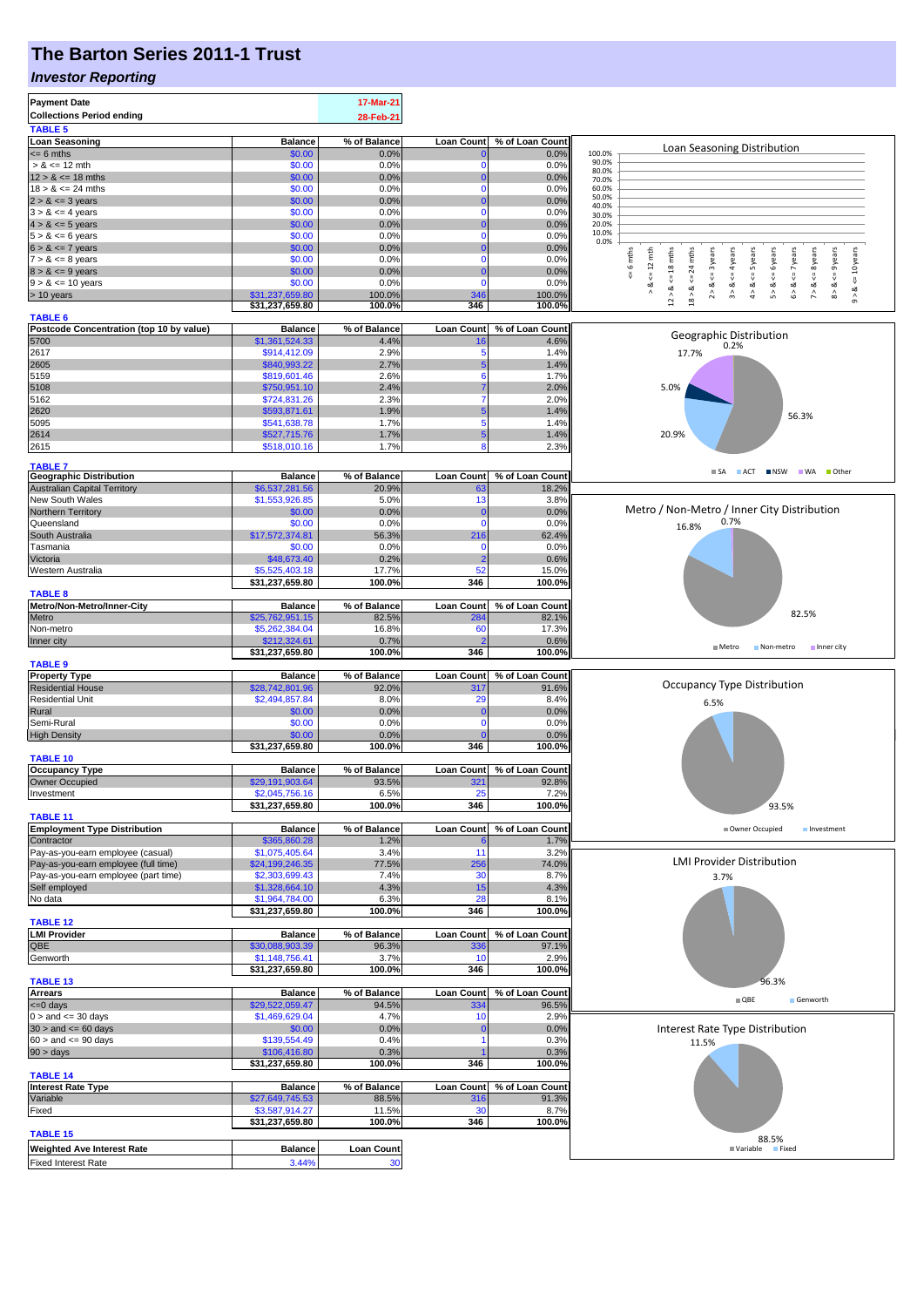## **The Barton Series 2011-1 Trust**

#### *Investor Reporting*

| <b>Payment Date</b>                                             |                                   | 17-Mar-21               |                          |                          |                                                                                                                                        |  |  |  |
|-----------------------------------------------------------------|-----------------------------------|-------------------------|--------------------------|--------------------------|----------------------------------------------------------------------------------------------------------------------------------------|--|--|--|
| <b>Collections Period ending</b>                                |                                   | 28-Feb-21               |                          |                          |                                                                                                                                        |  |  |  |
| <b>TABLE 5</b>                                                  |                                   |                         |                          |                          |                                                                                                                                        |  |  |  |
| <b>Loan Seasoning</b>                                           | <b>Balance</b>                    | % of Balance            | <b>Loan Count</b>        | % of Loan Count          | Loan Seasoning Distribution                                                                                                            |  |  |  |
| $= 6$ mths                                                      | \$0.00                            | 0.0%                    | 0                        | 0.0%                     | 100.0%<br>90.0%                                                                                                                        |  |  |  |
| $> 8 \le 12$ mth                                                | \$0.00                            | 0.0%                    | $\Omega$                 | 0.0%                     | 80.0%                                                                                                                                  |  |  |  |
| $12 > 8 \le 18$ mths                                            | \$0.00                            | 0.0%                    | 0                        | 0.0%                     | 70.0%                                                                                                                                  |  |  |  |
| $18 > 8 \le 24$ mths                                            | \$0.00                            | 0.0%                    | $\mathbf 0$              | 0.0%                     | 60.0%<br>50.0%                                                                                                                         |  |  |  |
| $2 > 8 \le 3$ years                                             | \$0.00                            | 0.0%                    | 0                        | 0.0%                     | 40.0%                                                                                                                                  |  |  |  |
| $3 > 8 \le 4$ years                                             | \$0.00                            | 0.0%                    | $\Omega$<br>0            | 0.0%                     | 30.0%<br>20.0%                                                                                                                         |  |  |  |
| $4 > 8 \le 5$ years<br>$5 > 8 \le 6$ years                      | \$0.00<br>\$0.00                  | 0.0%<br>0.0%            | $\mathbf 0$              | 0.0%<br>0.0%             | 10.0%                                                                                                                                  |  |  |  |
| $6 > 8 \le 7$ years                                             | \$0.00                            | 0.0%                    | 0                        | 0.0%                     | 0.0%                                                                                                                                   |  |  |  |
| $7 > 8 \le 8$ years                                             | \$0.00                            | 0.0%                    | O                        | 0.0%                     | 6 mths<br>$\leq 12$ mth<br>$\le$ 18 mths<br>24 mths<br><= 3 years<br>$\leq$ = 4 years<br><= 6 years<br>$x \leq 8$ years<br><= 10 years |  |  |  |
| $8 > 8 \le 9$ years                                             | \$0.00                            | 0.0%                    |                          | 0.0%                     |                                                                                                                                        |  |  |  |
| $9 > 8 \le 10$ years                                            | \$0.00                            | 0.0%                    | $\Omega$                 | 0.0%                     | $4 > 8$ <= 5 years<br>$6 > 8$ <= 7 years<br>$8 > 8 < 9$ years<br>뿄<br>₩<br>∞<br>ಷ                                                      |  |  |  |
| > 10 years                                                      | \$31,237,659.80                   | 100.0%                  | 346                      | 100.0%                   | $2 > 8$<br>5 > 8<br>7 > 8<br>$12 > 8$<br>ಷ<br>$9 - 8$<br>$\hat{\mathfrak{g}}$                                                          |  |  |  |
|                                                                 | \$31,237,659.80                   | 100.0%                  | 346                      | 100.0%                   | $18$ $\times$                                                                                                                          |  |  |  |
| <b>TABLE 6</b>                                                  |                                   |                         |                          |                          |                                                                                                                                        |  |  |  |
| Postcode Concentration (top 10 by value)                        | <b>Balance</b>                    | % of Balance            | <b>Loan Count</b>        | % of Loan Count          | Geographic Distribution                                                                                                                |  |  |  |
| 5700                                                            | \$1,361,524.33                    | 4.4%                    |                          | 4.6%                     | 0.2%                                                                                                                                   |  |  |  |
| 2617                                                            | \$914,412.09                      | 2.9%                    | 5                        | 1.4%                     | 17.7%                                                                                                                                  |  |  |  |
| 2605                                                            | \$840,993.22                      | 2.7%                    |                          | 1.4%                     |                                                                                                                                        |  |  |  |
| 5159                                                            | \$819,601.46                      | 2.6%                    | 6                        | 1.7%                     |                                                                                                                                        |  |  |  |
| 5108                                                            | \$750,951.10                      | 2.4%                    |                          | 2.0%                     | 5.0%                                                                                                                                   |  |  |  |
| 5162                                                            | \$724,831.26                      | 2.3%                    |                          | 2.0%                     |                                                                                                                                        |  |  |  |
| 2620<br>5095                                                    | \$593,871.61<br>\$541,638.78      | 1.9%<br>1.7%            | 5                        | 1.4%<br>1.4%             | 56.3%                                                                                                                                  |  |  |  |
|                                                                 | \$527,715.76                      | 1.7%                    | 5                        | 1.4%                     | 20.9%                                                                                                                                  |  |  |  |
| 2614<br>2615                                                    | \$518,010.16                      | 1.7%                    |                          | 2.3%                     |                                                                                                                                        |  |  |  |
|                                                                 |                                   |                         |                          |                          |                                                                                                                                        |  |  |  |
| <b>TABLE 7</b>                                                  |                                   |                         |                          |                          | SA ACT NSW WA Other                                                                                                                    |  |  |  |
| <b>Geographic Distribution</b>                                  | <b>Balance</b>                    | % of Balance            | <b>Loan Count</b>        | % of Loan Count          |                                                                                                                                        |  |  |  |
| <b>Australian Capital Territory</b>                             | \$6,537,281.56                    | 20.9%                   | 63                       | 18.2%                    |                                                                                                                                        |  |  |  |
| New South Wales                                                 | \$1,553,926.85                    | 5.0%                    | 13                       | 3.8%                     | Metro / Non-Metro / Inner City Distribution                                                                                            |  |  |  |
| Northern Territory                                              | \$0.00                            | 0.0%                    |                          | 0.0%                     | 0.7%                                                                                                                                   |  |  |  |
| Queensland                                                      | \$0.00                            | 0.0%                    | $\mathbf 0$              | 0.0%                     | 16.8%                                                                                                                                  |  |  |  |
| South Australia<br>Tasmania                                     | \$17,572,374.81<br>\$0.00         | 56.3%<br>0.0%           | 216<br>n                 | 62.4%<br>0.0%            |                                                                                                                                        |  |  |  |
| Victoria                                                        | \$48,673.40                       | 0.2%                    | 2                        | 0.6%                     |                                                                                                                                        |  |  |  |
| Western Australia                                               | \$5,525,403.18                    | 17.7%                   | 52                       | 15.0%                    |                                                                                                                                        |  |  |  |
|                                                                 | \$31,237,659.80                   | 100.0%                  | 346                      | 100.0%                   |                                                                                                                                        |  |  |  |
| <b>TABLE 8</b>                                                  |                                   |                         |                          |                          |                                                                                                                                        |  |  |  |
| Metro/Non-Metro/Inner-City                                      | <b>Balance</b>                    | % of Balance            | Loan Count               | % of Loan Count          |                                                                                                                                        |  |  |  |
| Metro                                                           | \$25,762,951.15                   | 82.5%                   | 284                      | 82.1%                    | 82.5%                                                                                                                                  |  |  |  |
| Non-metro                                                       | \$5,262,384.04                    | 16.8%                   | 60                       | 17.3%                    |                                                                                                                                        |  |  |  |
| Inner city                                                      | \$212,324.61                      | 0.7%                    |                          | 0.6%                     | Metro                                                                                                                                  |  |  |  |
|                                                                 | \$31,237,659.80                   | 100.0%                  | 346                      | 100.0%                   | Non-metro Inner city                                                                                                                   |  |  |  |
| <b>TABLE 9</b>                                                  |                                   |                         |                          |                          |                                                                                                                                        |  |  |  |
| <b>Property Type</b>                                            | <b>Balance</b>                    | % of Balance            | <b>Loan Count</b>        | % of Loan Count          |                                                                                                                                        |  |  |  |
| <b>Residential House</b>                                        | \$28,742,801.96                   | 92.0%                   | 317                      | 91.6%                    | <b>Occupancy Type Distribution</b>                                                                                                     |  |  |  |
| <b>Residential Unit</b>                                         | \$2,494,857.84                    | 8.0%                    | 29                       | 8.4%                     | 6.5%                                                                                                                                   |  |  |  |
| Rural                                                           | \$0.00                            | 0.0%<br>0.0%            | 0                        | 0.0%                     |                                                                                                                                        |  |  |  |
| Semi-Rural<br><b>High Density</b>                               | \$0.00<br>\$0.00                  | 0.0%                    |                          | 0.0%<br>0.0%             |                                                                                                                                        |  |  |  |
|                                                                 | \$31,237,659.80                   | 100.0%                  | 346                      | 100.0%                   |                                                                                                                                        |  |  |  |
| <b>TABLE 10</b>                                                 |                                   |                         |                          |                          |                                                                                                                                        |  |  |  |
| <b>Occupancy Type</b>                                           | <b>Balance</b>                    | % of Balance            | Loan Count               | % of Loan Count          |                                                                                                                                        |  |  |  |
| Owner Occupied                                                  | \$29,191,903.64                   | 93.5%                   | 321                      | 92.8%                    |                                                                                                                                        |  |  |  |
| Investment                                                      | \$2,045,756.16                    | 6.5%                    |                          | 7.2%                     |                                                                                                                                        |  |  |  |
|                                                                 | \$31,237,659.80                   | 100.0%                  | 346                      | 100.0%                   | 93.5%                                                                                                                                  |  |  |  |
| <b>TABLE 11</b>                                                 |                                   |                         |                          |                          |                                                                                                                                        |  |  |  |
| <b>Employment Type Distribution</b>                             | <b>Balance</b>                    | % of Balance            | <b>Loan Count</b>        | % of Loan Count          | Owner Occupied<br>Investment                                                                                                           |  |  |  |
| Contractor                                                      | \$365,860.28                      | 1.2%                    |                          | 1.7%                     |                                                                                                                                        |  |  |  |
| Pay-as-you-earn employee (casual)                               | \$1,075,405.64                    | 3.4%                    | 11                       | 3.2%                     |                                                                                                                                        |  |  |  |
| Pay-as-you-earn employee (full time)                            |                                   |                         |                          |                          |                                                                                                                                        |  |  |  |
|                                                                 | \$24,199,246.35                   | 77.5%                   | 256                      | 74.0%                    | <b>LMI Provider Distribution</b>                                                                                                       |  |  |  |
| Pay-as-you-earn employee (part time)                            | \$2,303,699.43                    | 7.4%                    | 30                       | 8.7%                     | 3.7%                                                                                                                                   |  |  |  |
| Self employed                                                   | \$1,328,664.10                    | 4.3%                    | 15                       | 4.3%                     |                                                                                                                                        |  |  |  |
| No data                                                         | \$1,964,784.00                    | 6.3%                    | 28                       | 8.1%                     |                                                                                                                                        |  |  |  |
|                                                                 | \$31,237,659.80                   | 100.0%                  | 346                      | 100.0%                   |                                                                                                                                        |  |  |  |
| <b>TABLE 12</b>                                                 |                                   |                         |                          |                          |                                                                                                                                        |  |  |  |
|                                                                 | <b>Balance</b><br>\$30,088,903.39 | % of Balance<br>96.3%   | <b>Loan Count</b><br>336 | % of Loan Count<br>97.1% |                                                                                                                                        |  |  |  |
| <b>LMI Provider</b><br>QBE<br>Genworth                          | \$1,148,756.41                    | 3.7%                    | 10                       | 2.9%                     |                                                                                                                                        |  |  |  |
|                                                                 | \$31,237,659.80                   | 100.0%                  | 346                      | 100.0%                   |                                                                                                                                        |  |  |  |
| <b>TABLE 13</b>                                                 |                                   |                         |                          |                          | 96.3%                                                                                                                                  |  |  |  |
| <b>Arrears</b>                                                  | <b>Balance</b>                    | % of Balance            | <b>Loan Count</b>        | % of Loan Count          |                                                                                                                                        |  |  |  |
| <= 0 days                                                       | \$29,522,059.47                   | 94.5%                   | 334                      | 96.5%                    | $\blacksquare$ QBE<br>Genworth                                                                                                         |  |  |  |
| $0 >$ and $\lt = 30$ days                                       | \$1,469,629.04                    | 4.7%                    | 10                       | 2.9%                     |                                                                                                                                        |  |  |  |
| $30 >$ and $\leq 60$ days                                       | \$0.00                            | 0.0%                    |                          | 0.0%                     | Interest Rate Type Distribution                                                                                                        |  |  |  |
|                                                                 | \$139,554.49                      | 0.4%                    |                          | 0.3%                     | 11.5%                                                                                                                                  |  |  |  |
| $60 >$ and $\leq 90$ days<br>90 > days                          | \$106,416.80                      | 0.3%                    |                          | 0.3%                     |                                                                                                                                        |  |  |  |
|                                                                 | \$31,237,659.80                   | 100.0%                  | 346                      | 100.0%                   |                                                                                                                                        |  |  |  |
| <b>TABLE 14</b>                                                 |                                   |                         |                          |                          |                                                                                                                                        |  |  |  |
| <b>Interest Rate Type</b>                                       | <b>Balance</b>                    | % of Balance            | <b>Loan Count</b>        | % of Loan Count          |                                                                                                                                        |  |  |  |
| Variable                                                        | \$27,649,745.53                   | 88.5%<br>11.5%          | 316<br>3 <sub>0</sub>    | 91.3%                    |                                                                                                                                        |  |  |  |
| Fixed                                                           | \$3,587,914.27<br>\$31,237,659.80 | 100.0%                  | 346                      | 8.7%<br>100.0%           |                                                                                                                                        |  |  |  |
| <b>TABLE 15</b>                                                 |                                   |                         |                          |                          |                                                                                                                                        |  |  |  |
|                                                                 |                                   |                         |                          |                          | 88.5%<br>Variable Fixed                                                                                                                |  |  |  |
| <b>Weighted Ave Interest Rate</b><br><b>Fixed Interest Rate</b> | <b>Balance</b><br>3.44%           | <b>Loan Count</b><br>30 |                          |                          |                                                                                                                                        |  |  |  |